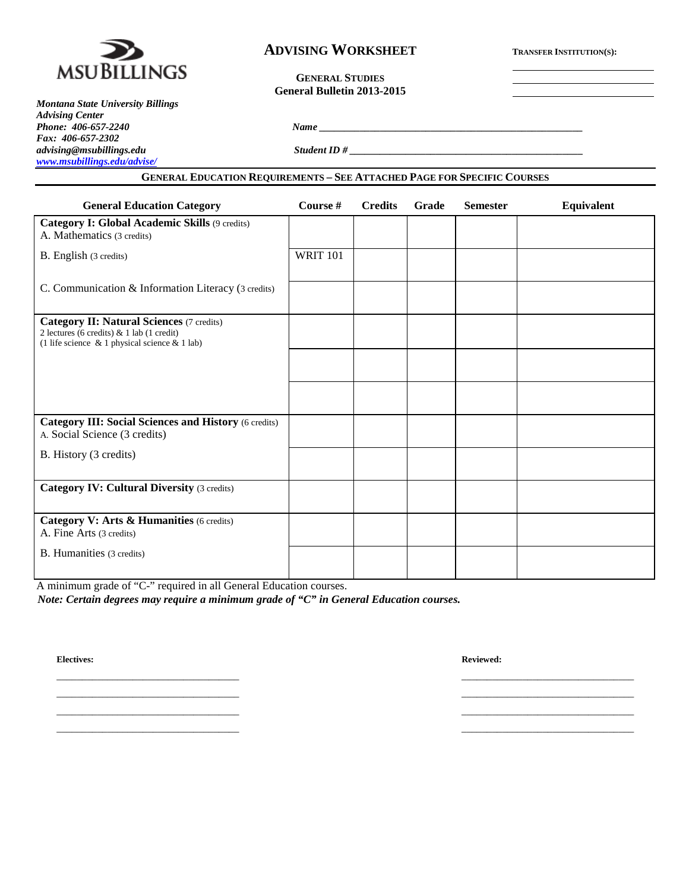

## **ADVISING WORKSHEET TRANSFER INSTITUTION(S):**

**GENERAL STUDIES General Bulletin 2013-2015**

*Montana State University Billings Advising Center Fax: 406-657-2302 [www.msubillings.edu/advise/](http://www.msubillings.edu/advise/)*

*Phone: 406-657-2240 Name \_\_\_\_\_\_\_\_\_\_\_\_\_\_\_\_\_\_\_\_\_\_\_\_\_\_\_\_\_\_\_\_\_\_\_\_\_\_\_\_\_\_\_\_\_\_\_\_\_\_\_\_*

*advising@msubillings.edu Student ID # \_\_\_\_\_\_\_\_\_\_\_\_\_\_\_\_\_\_\_\_\_\_\_\_\_\_\_\_\_\_\_\_\_\_\_\_\_\_\_\_\_\_\_\_\_\_*

## **GENERAL EDUCATION REQUIREMENTS – SEE ATTACHED PAGE FOR SPECIFIC COURSES**

| <b>General Education Category</b>                                                                                                              | Course #        | <b>Credits</b> | Grade | <b>Semester</b> | <b>Equivalent</b> |
|------------------------------------------------------------------------------------------------------------------------------------------------|-----------------|----------------|-------|-----------------|-------------------|
| Category I: Global Academic Skills (9 credits)<br>A. Mathematics (3 credits)                                                                   |                 |                |       |                 |                   |
| B. English (3 credits)                                                                                                                         | <b>WRIT 101</b> |                |       |                 |                   |
| C. Communication & Information Literacy (3 credits)                                                                                            |                 |                |       |                 |                   |
| <b>Category II: Natural Sciences (7 credits)</b><br>2 lectures (6 credits) & 1 lab (1 credit)<br>(1 life science & 1 physical science & 1 lab) |                 |                |       |                 |                   |
|                                                                                                                                                |                 |                |       |                 |                   |
|                                                                                                                                                |                 |                |       |                 |                   |
| <b>Category III: Social Sciences and History (6 credits)</b><br>A. Social Science (3 credits)                                                  |                 |                |       |                 |                   |
| B. History (3 credits)                                                                                                                         |                 |                |       |                 |                   |
| <b>Category IV: Cultural Diversity (3 credits)</b>                                                                                             |                 |                |       |                 |                   |
| Category V: Arts & Humanities (6 credits)<br>A. Fine Arts (3 credits)                                                                          |                 |                |       |                 |                   |
| B. Humanities (3 credits)                                                                                                                      |                 |                |       |                 |                   |

\_\_\_\_\_\_\_\_\_\_\_\_\_\_\_\_\_\_\_\_\_\_\_\_\_\_\_\_\_\_\_\_\_\_\_\_ \_\_\_\_\_\_\_\_\_\_\_\_\_\_\_\_\_\_\_\_\_\_\_\_\_\_\_\_\_\_\_\_\_\_ \_\_\_\_\_\_\_\_\_\_\_\_\_\_\_\_\_\_\_\_\_\_\_\_\_\_\_\_\_\_\_\_\_\_\_\_ \_\_\_\_\_\_\_\_\_\_\_\_\_\_\_\_\_\_\_\_\_\_\_\_\_\_\_\_\_\_\_\_\_\_ \_\_\_\_\_\_\_\_\_\_\_\_\_\_\_\_\_\_\_\_\_\_\_\_\_\_\_\_\_\_\_\_\_\_\_\_ \_\_\_\_\_\_\_\_\_\_\_\_\_\_\_\_\_\_\_\_\_\_\_\_\_\_\_\_\_\_\_\_\_\_ \_\_\_\_\_\_\_\_\_\_\_\_\_\_\_\_\_\_\_\_\_\_\_\_\_\_\_\_\_\_\_\_\_\_\_\_ \_\_\_\_\_\_\_\_\_\_\_\_\_\_\_\_\_\_\_\_\_\_\_\_\_\_\_\_\_\_\_\_\_\_

A minimum grade of "C-" required in all General Education courses.

*Note: Certain degrees may require a minimum grade of "C" in General Education courses.*

**Electives: Reviewed:**